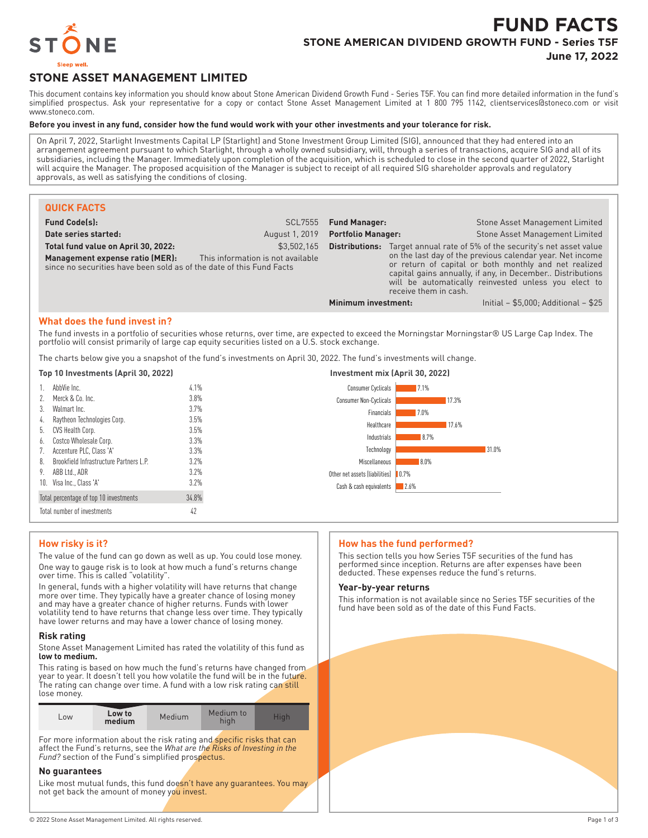

# **FUND FACTS STONE AMERICAN DIVIDEND GROWTH FUND - Series T5F**

**June 17, 2022**

## **STONE ASSET MANAGEMENT LIMITED**

This document contains key information you should know about Stone American Dividend Growth Fund - Series T5F. You can find more detailed information in the fund's simplified prospectus. Ask your representative for a copy or contact Stone Asset Management Limited at 1 800 795 1142, clientservices@stoneco.com or visit www.stoneco.com.

#### **Before you invest in any fund, consider how the fund would work with your other investments and your tolerance for risk.**

On April 7, 2022, Starlight Investments Capital LP (Starlight) and Stone Investment Group Limited (SIG), announced that they had entered into an arrangement agreement pursuant to which Starlight, through a wholly owned subsidiary, will, through a series of transactions, acquire SIG and all of its subsidiaries, including the Manager. Immediately upon completion of the acquisition, which is scheduled to close in the second quarter of 2022, Starlight will acquire the Manager. The proposed acquisition of the Manager is subject to receipt of all required SIG shareholder approvals and regulatory approvals, as well as satisfying the conditions of closing.

| <b>QUICK FACTS</b>                                                                                                                                                                                                                                                                                                                                                                                                |                                                |                              |                                                                            |                                                    |                                                                                                                                                                                                                                                                                                                             |  |  |
|-------------------------------------------------------------------------------------------------------------------------------------------------------------------------------------------------------------------------------------------------------------------------------------------------------------------------------------------------------------------------------------------------------------------|------------------------------------------------|------------------------------|----------------------------------------------------------------------------|----------------------------------------------------|-----------------------------------------------------------------------------------------------------------------------------------------------------------------------------------------------------------------------------------------------------------------------------------------------------------------------------|--|--|
| <b>Fund Code(s):</b><br><b>SCL7555</b>                                                                                                                                                                                                                                                                                                                                                                            |                                                | <b>Fund Manager:</b>         |                                                                            | <b>Stone Asset Management Limited</b>              |                                                                                                                                                                                                                                                                                                                             |  |  |
| August 1, 2019<br>Date series started:                                                                                                                                                                                                                                                                                                                                                                            |                                                | <b>Portfolio Manager:</b>    |                                                                            | <b>Stone Asset Management Limited</b>              |                                                                                                                                                                                                                                                                                                                             |  |  |
| \$3,502,165<br>Total fund value on April 30, 2022:<br>This information is not available<br>Management expense ratio (MER):<br>since no securities have been sold as of the date of this Fund Facts                                                                                                                                                                                                                |                                                |                              |                                                                            | receive them in cash.                              | <b>Distributions:</b> Target annual rate of 5% of the security's net asset value<br>on the last day of the previous calendar year. Net income<br>or return of capital or both monthly and net realized<br>capital gains annually, if any, in December Distributions<br>will be automatically reinvested unless you elect to |  |  |
|                                                                                                                                                                                                                                                                                                                                                                                                                   |                                                |                              | Minimum investment:                                                        |                                                    | Initial $-$ \$5,000; Additional $-$ \$25                                                                                                                                                                                                                                                                                    |  |  |
| What does the fund invest in?<br>The fund invests in a portfolio of securities whose returns, over time, are expected to exceed the Morningstar Morningstar® US Large Cap Index. The<br>portfolio will consist primarily of large cap equity securities listed on a U.S. stock exchange.<br>The charts below give you a snapshot of the fund's investments on April 30, 2022. The fund's investments will change. |                                                |                              |                                                                            |                                                    |                                                                                                                                                                                                                                                                                                                             |  |  |
| Top 10 Investments (April 30, 2022)                                                                                                                                                                                                                                                                                                                                                                               |                                                |                              | Investment mix (April 30, 2022)                                            |                                                    |                                                                                                                                                                                                                                                                                                                             |  |  |
| AbbVie Inc.<br>Merck & Co. Inc.<br>3.<br>Walmart Inc.<br>4.                                                                                                                                                                                                                                                                                                                                                       | Raytheon Technologies Corp.                    | 4.1%<br>3.8%<br>3.7%<br>3.5% | Consumer Cyclicals<br>Consumer Non-Cyclicals<br>Financials<br>Healthcare   | 17.1%<br>17.3%<br>7.0%<br>17.6%                    |                                                                                                                                                                                                                                                                                                                             |  |  |
| CVS Health Corp.<br>5.<br>Costco Wholesale Corp.<br>b.<br>Accenture PLC, Class 'A'                                                                                                                                                                                                                                                                                                                                |                                                | 3.5%<br>3.3%<br>3.3%         | Industrials<br>Technology                                                  | 8.7%                                               | 31.0%                                                                                                                                                                                                                                                                                                                       |  |  |
| 8.<br>ABB Ltd., ADR<br>10. Visa Inc., Class 'A'                                                                                                                                                                                                                                                                                                                                                                   | <b>Brookfield Infrastructure Partners L.P.</b> | 3.2%<br>3.2%<br>3.2%         | Miscellaneous<br>Other net assets (liabilities)<br>Cash & cash equivalents | 8.0%<br>$\blacksquare$ 0.7%<br>$\blacksquare$ 2.6% |                                                                                                                                                                                                                                                                                                                             |  |  |

#### **How risky is it?**

Total percentage of top 10 investments 34.8% Total number of investments 42

The value of the fund can go down as well as up. You could lose money. One way to gauge risk is to look at how much a fund's returns change over time. This is called "volatility".

In general, funds with a higher volatility will have returns that change more over time. They typically have a greater chance of losing money and may have a greater chance of higher returns. Funds with lower volatility tend to have returns that change less over time. They typically have lower returns and may have a lower chance of losing money.

#### **Risk rating**

Stone Asset Management Limited has rated the volatility of this fund as **low to medium.**

This rating is based on how much the fund's returns have changed from year to year. It doesn't tell you how volatile the fund will be in the future. The rating can change over time. A fund with a low risk rating can still lose money.

| Low to<br>$-0W$<br>medium | Medium | Medium to<br>hiah | Hiah |
|---------------------------|--------|-------------------|------|
|---------------------------|--------|-------------------|------|

For more information about the risk rating and *specific risks that can* affect the Fund's returns, see the *What are the Risks of Investing in the* Fund? section of the Fund's simplified prospectus.

#### **No guarantees**

Like most mutual funds, this fund doesn't have any guarantees. You may not get back the amount of money you invest.

#### **How has the fund performed?**

This section tells you how Series T5F securities of the fund has performed since inception. Returns are after expenses have been deducted. These expenses reduce the fund's returns.

#### **Year-by-year returns**

This information is not available since no Series T5F securities of the fund have been sold as of the date of this Fund Facts.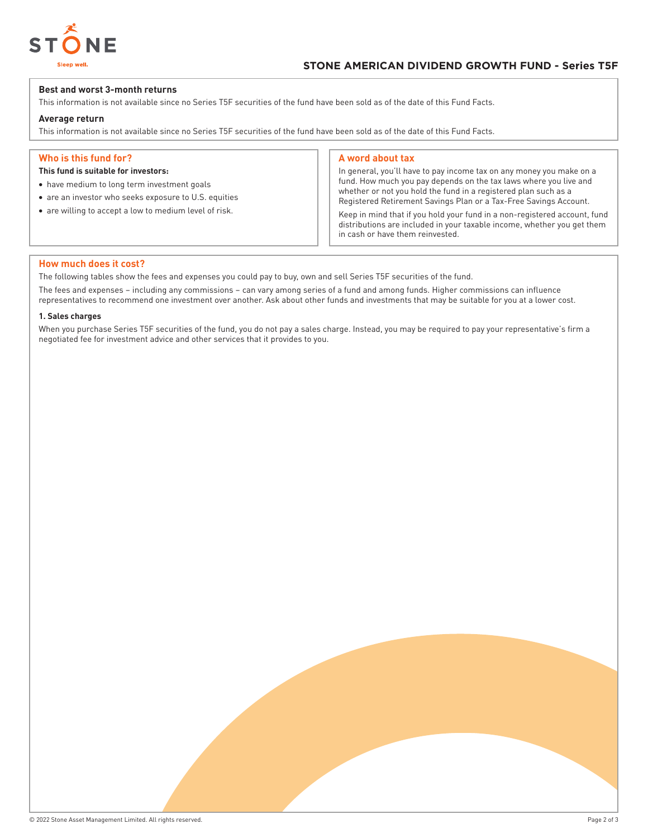

#### **Best and worst 3-month returns**

This information is not available since no Series T5F securities of the fund have been sold as of the date of this Fund Facts.

#### **Average return**

This information is not available since no Series T5F securities of the fund have been sold as of the date of this Fund Facts.

#### **Who is this fund for?**

#### **This fund is suitable for investors:**

- have medium to long term investment goals
- are an investor who seeks exposure to U.S. equities
- are willing to accept a low to medium level of risk.

#### **A word about tax**

In general, you'll have to pay income tax on any money you make on a fund. How much you pay depends on the tax laws where you live and whether or not you hold the fund in a registered plan such as a Registered Retirement Savings Plan or a Tax-Free Savings Account.

Keep in mind that if you hold your fund in a non-registered account, fund distributions are included in your taxable income, whether you get them in cash or have them reinvested.

#### **How much does it cost?**

The following tables show the fees and expenses you could pay to buy, own and sell Series T5F securities of the fund.

The fees and expenses – including any commissions – can vary among series of a fund and among funds. Higher commissions can influence representatives to recommend one investment over another. Ask about other funds and investments that may be suitable for you at a lower cost.

#### **1. Sales charges**

When you purchase Series T5F securities of the fund, you do not pay a sales charge. Instead, you may be required to pay your representative's firm a negotiated fee for investment advice and other services that it provides to you.